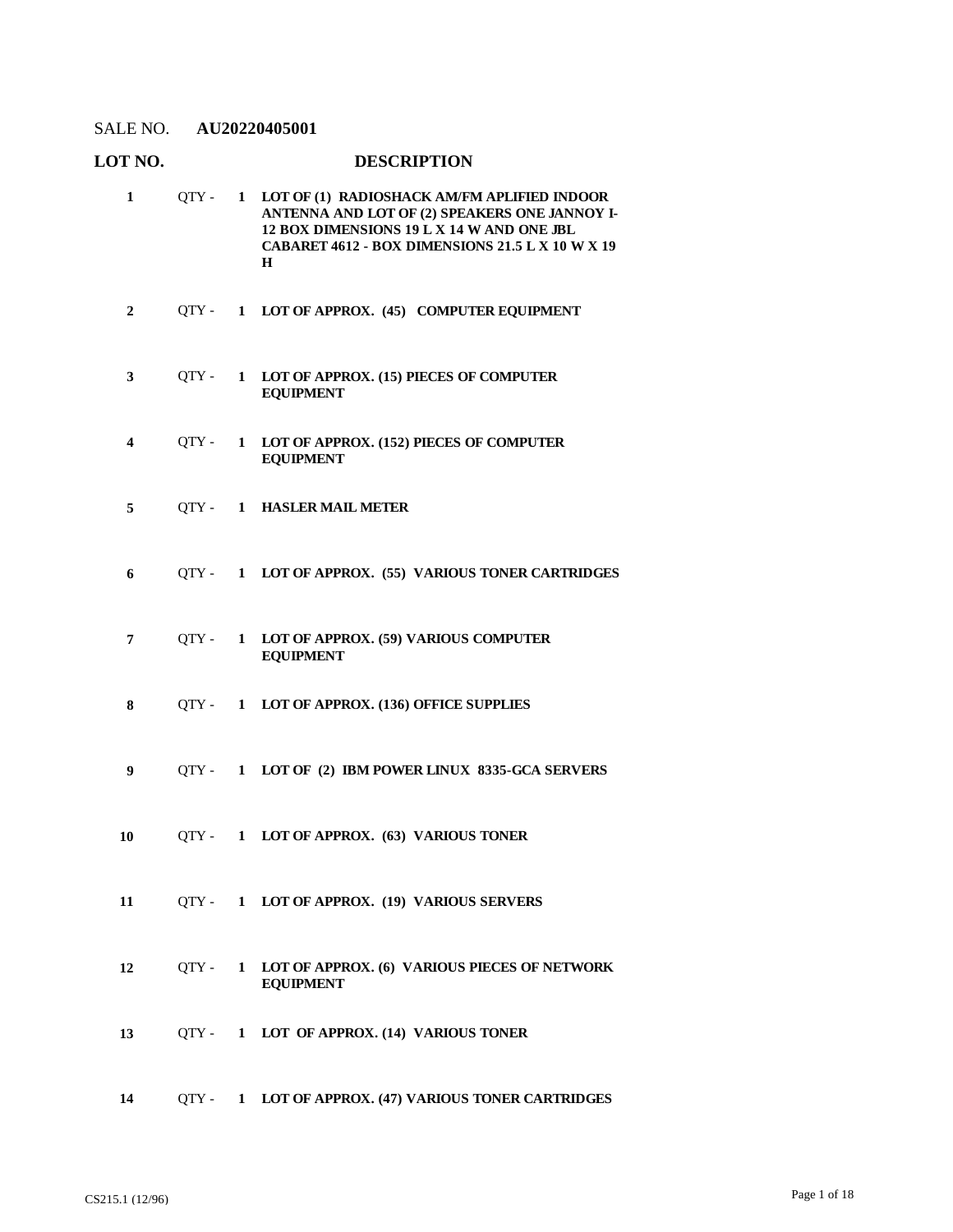#### **LOT NO. DESCRIPTION LOT OF (1) RADIOSHACK AM/FM APLIFIED INDOOR ANTENNA AND LOT OF (2) SPEAKERS ONE JANNOY I-1** QTY - **1**

- **12 BOX DIMENSIONS 19 L X 14 W AND ONE JBL CABARET 4612 - BOX DIMENSIONS 21.5 L X 10 W X 19 H 2** QTY - **1 LOT OF APPROX. (45) COMPUTER EQUIPMENT LOT OF APPROX. (15) PIECES OF COMPUTER EQUIPMENT 3** QTY - **1 LOT OF APPROX. (152) PIECES OF COMPUTER EQUIPMENT 4** QTY - **1 5** QTY - **1 HASLER MAIL METER 6** QTY - **1 LOT OF APPROX. (55) VARIOUS TONER CARTRIDGES LOT OF APPROX. (59) VARIOUS COMPUTER EQUIPMENT 7** QTY - **1 8** QTY - **1 LOT OF APPROX. (136) OFFICE SUPPLIES 9** QTY - **1 LOT OF (2) IBM POWER LINUX 8335-GCA SERVERS 10** QTY - **1 LOT OF APPROX. (63) VARIOUS TONER 11** QTY - **1 LOT OF APPROX. (19) VARIOUS SERVERS LOT OF APPROX. (6) VARIOUS PIECES OF NETWORK EQUIPMENT 12** QTY - **1 13** QTY - **1 LOT OF APPROX. (14) VARIOUS TONER**
- **14** QTY **1 LOT OF APPROX. (47) VARIOUS TONER CARTRIDGES**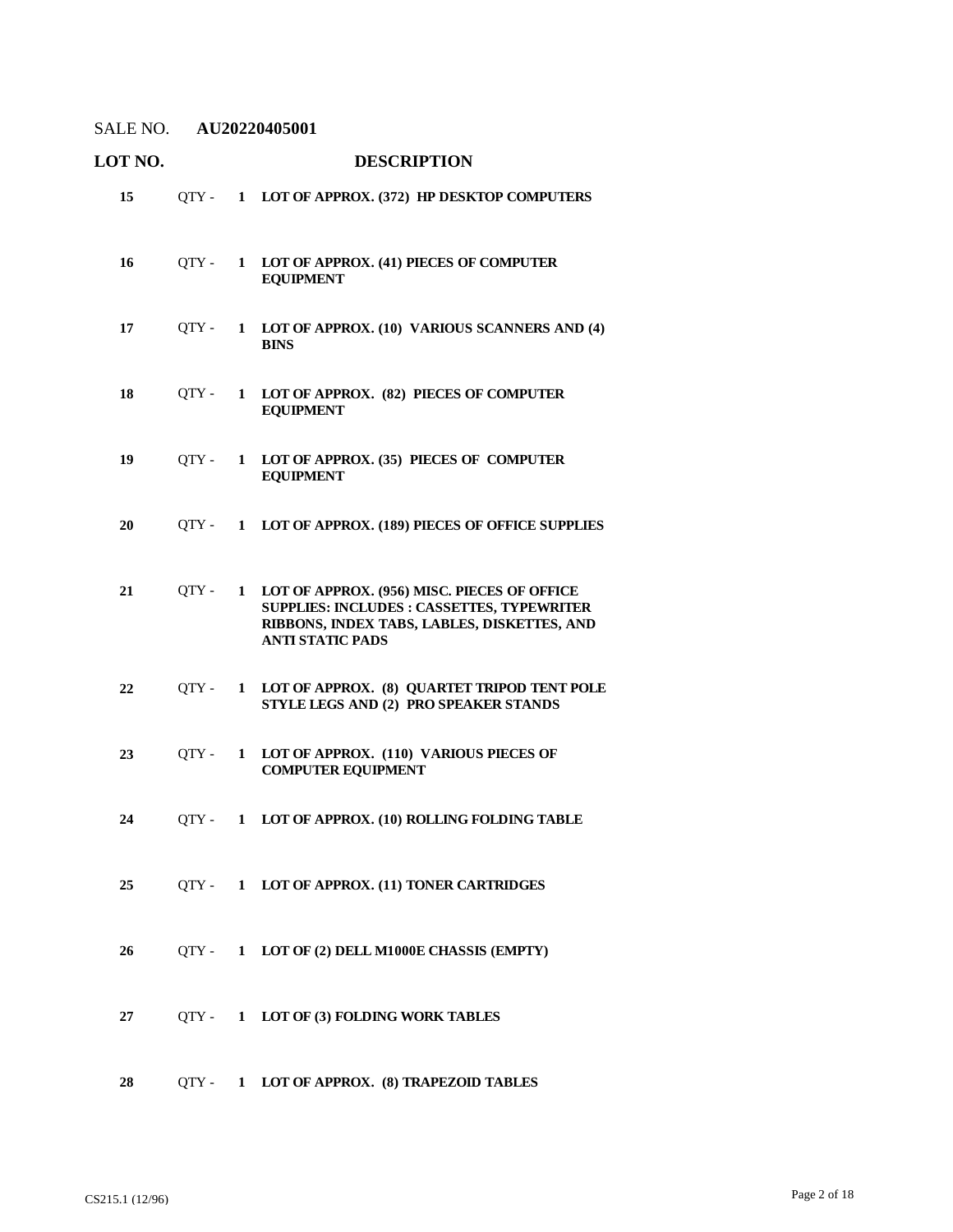| LOT NO. |       |              | <b>DESCRIPTION</b>                                                                                                                                                         |
|---------|-------|--------------|----------------------------------------------------------------------------------------------------------------------------------------------------------------------------|
| 15      | QTY - | $\mathbf{1}$ | LOT OF APPROX. (372) HP DESKTOP COMPUTERS                                                                                                                                  |
| 16      | QTY - | $\mathbf{1}$ | LOT OF APPROX. (41) PIECES OF COMPUTER<br><b>EQUIPMENT</b>                                                                                                                 |
| 17      | QTY - | $\mathbf{1}$ | LOT OF APPROX. (10) VARIOUS SCANNERS AND (4)<br><b>BINS</b>                                                                                                                |
| 18      | OTY - | $\mathbf{1}$ | LOT OF APPROX. (82) PIECES OF COMPUTER<br><b>EQUIPMENT</b>                                                                                                                 |
| 19      | OTY - | $\mathbf{1}$ | LOT OF APPROX. (35) PIECES OF COMPUTER<br><b>EQUIPMENT</b>                                                                                                                 |
| 20      | OTY - | 1            | LOT OF APPROX. (189) PIECES OF OFFICE SUPPLIES                                                                                                                             |
| 21      | OTY - | $\mathbf{1}$ | LOT OF APPROX. (956) MISC. PIECES OF OFFICE<br><b>SUPPLIES: INCLUDES : CASSETTES, TYPEWRITER</b><br>RIBBONS, INDEX TABS, LABLES, DISKETTES, AND<br><b>ANTI STATIC PADS</b> |
| 22      | OTY - | 1            | LOT OF APPROX. (8) QUARTET TRIPOD TENT POLE<br>STYLE LEGS AND (2) PRO SPEAKER STANDS                                                                                       |
| 23      | OTY - | 1            | LOT OF APPROX. (110) VARIOUS PIECES OF<br><b>COMPUTER EQUIPMENT</b>                                                                                                        |
| 24      | OTY - | $\mathbf{1}$ | LOT OF APPROX. (10) ROLLING FOLDING TABLE                                                                                                                                  |
| 25      |       |              | QTY- 1 LOT OF APPROX. (11) TONER CARTRIDGES                                                                                                                                |
| 26      |       |              | QTY - 1 LOT OF (2) DELL M1000E CHASSIS (EMPTY)                                                                                                                             |
| 27      |       |              | QTY - 1 LOT OF (3) FOLDING WORK TABLES                                                                                                                                     |
| 28      |       |              | QTY - 1 LOT OF APPROX. (8) TRAPEZOID TABLES                                                                                                                                |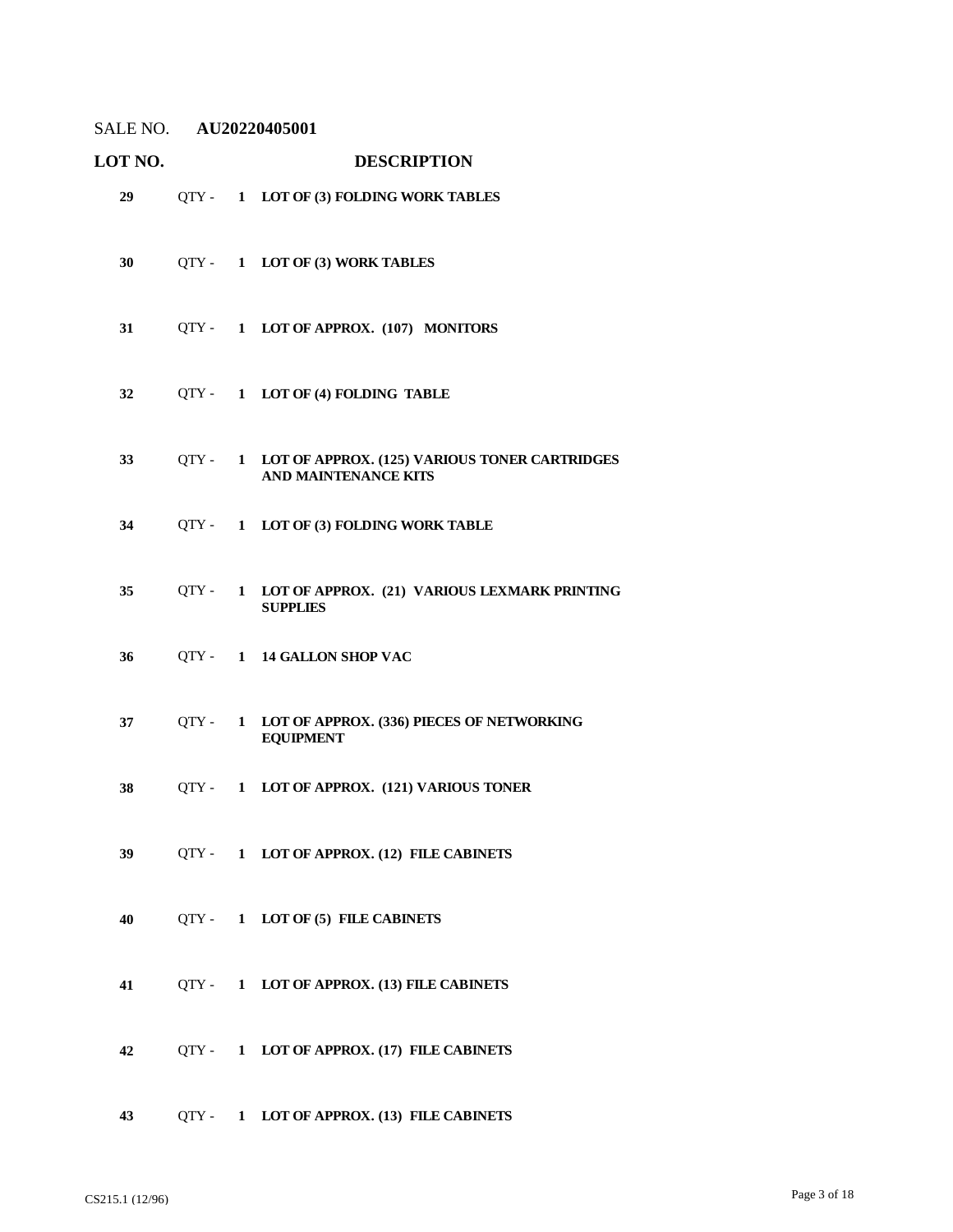| <b>LOT NO.</b> |                  |              | <b>DESCRIPTION</b>                                                                   |
|----------------|------------------|--------------|--------------------------------------------------------------------------------------|
| 29             |                  |              | QTY- 1 LOT OF (3) FOLDING WORK TABLES                                                |
| 30             |                  |              | QTY - 1 LOT OF (3) WORK TABLES                                                       |
| 31             |                  |              | QTY- 1 LOT OF APPROX. (107) MONITORS                                                 |
| 32             |                  |              | QTY - 1 LOT OF (4) FOLDING TABLE                                                     |
| 33             |                  |              | QTY - 1 LOT OF APPROX. (125) VARIOUS TONER CARTRIDGES<br><b>AND MAINTENANCE KITS</b> |
| 34             | OTY -            | $\mathbf{1}$ | LOT OF (3) FOLDING WORK TABLE                                                        |
| 35             | OTY -            |              | 1 LOT OF APPROX. (21) VARIOUS LEXMARK PRINTING<br><b>SUPPLIES</b>                    |
| 36             | $\text{OTY} - 1$ |              | <b>14 GALLON SHOP VAC</b>                                                            |
| 37             | OTY -            | $\mathbf{1}$ | LOT OF APPROX. (336) PIECES OF NETWORKING<br><b>EQUIPMENT</b>                        |
| 38             | $\text{OTY} - 1$ |              | LOT OF APPROX. (121) VARIOUS TONER                                                   |
| 39             |                  |              | QTY - 1 LOT OF APPROX. (12) FILE CABINETS                                            |
| 40             |                  |              | QTY- 1 LOT OF (5) FILE CABINETS                                                      |
| 41             |                  |              | QTY - 1 LOT OF APPROX. (13) FILE CABINETS                                            |
| 42             |                  |              | QTY- 1 LOT OF APPROX. (17) FILE CABINETS                                             |
| 43             |                  |              | QTY - 1 LOT OF APPROX. (13) FILE CABINETS                                            |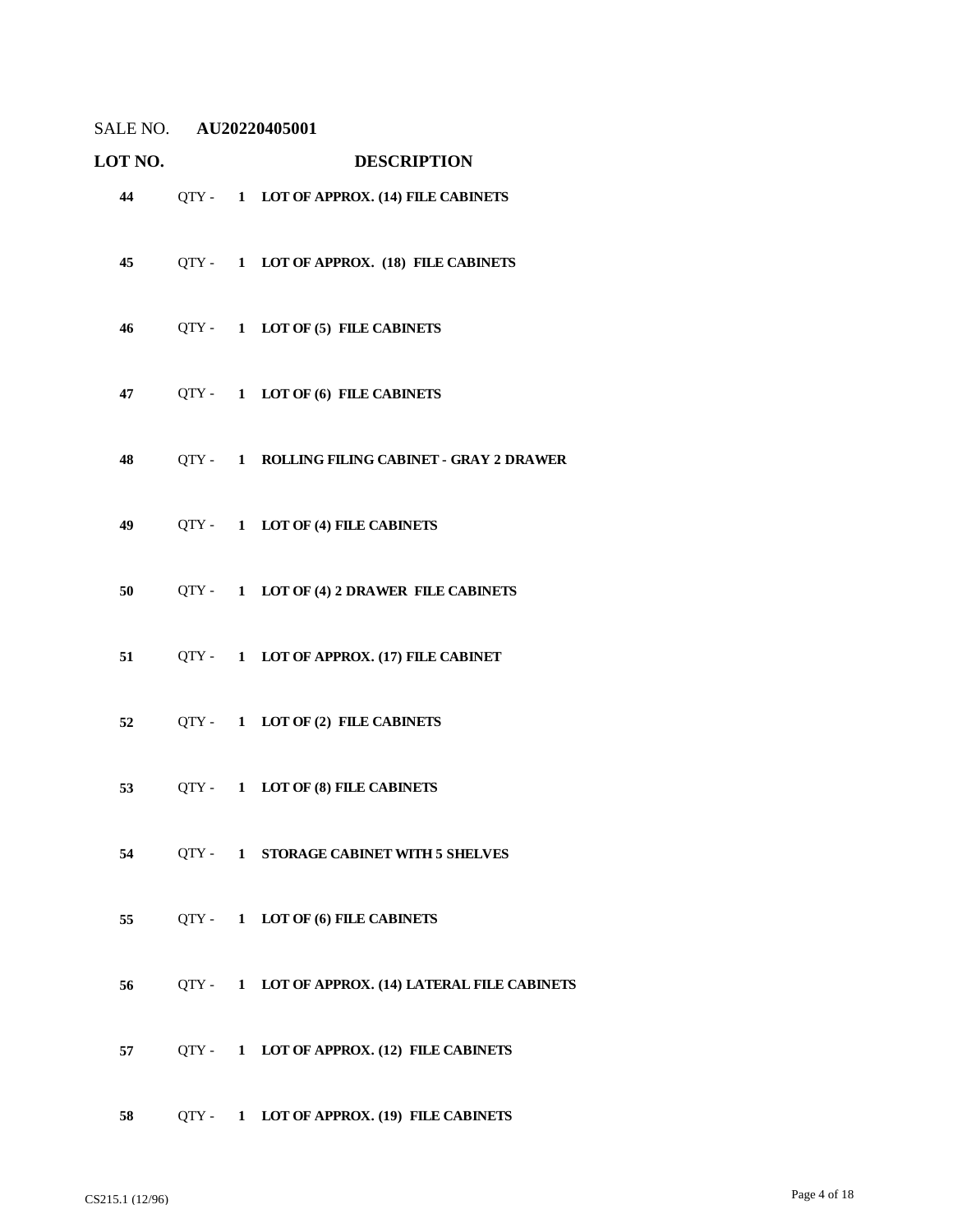| LOT NO. |         |              | <b>DESCRIPTION</b>                                |
|---------|---------|--------------|---------------------------------------------------|
| 44      |         |              | QTY - 1 LOT OF APPROX. (14) FILE CABINETS         |
| 45      |         |              | QTY- 1 LOT OF APPROX. (18) FILE CABINETS          |
| 46      |         |              | QTY - 1 LOT OF (5) FILE CABINETS                  |
| 47      |         |              | QTY- 1 LOT OF (6) FILE CABINETS                   |
| 48      |         |              | QTY - 1 ROLLING FILING CABINET - GRAY 2 DRAWER    |
| 49      |         |              | QTY- 1 LOT OF (4) FILE CABINETS                   |
|         |         |              | 50 QTY - 1 LOT OF (4) 2 DRAWER FILE CABINETS      |
| 51      |         |              | QTY- 1 LOT OF APPROX. (17) FILE CABINET           |
| 52      |         |              | QTY - 1 LOT OF (2) FILE CABINETS                  |
| 53      |         |              | QTY - 1 LOT OF (8) FILE CABINETS                  |
| 54      |         |              | QTY - 1 STORAGE CABINET WITH 5 SHELVES            |
| 55      |         |              | QTY- 1 LOT OF (6) FILE CABINETS                   |
| 56      |         |              | QTY - 1 LOT OF APPROX. (14) LATERAL FILE CABINETS |
| 57      |         |              | QTY- 1 LOT OF APPROX. (12) FILE CABINETS          |
| 58      | $QTY -$ | $\mathbf{1}$ | LOT OF APPROX. (19) FILE CABINETS                 |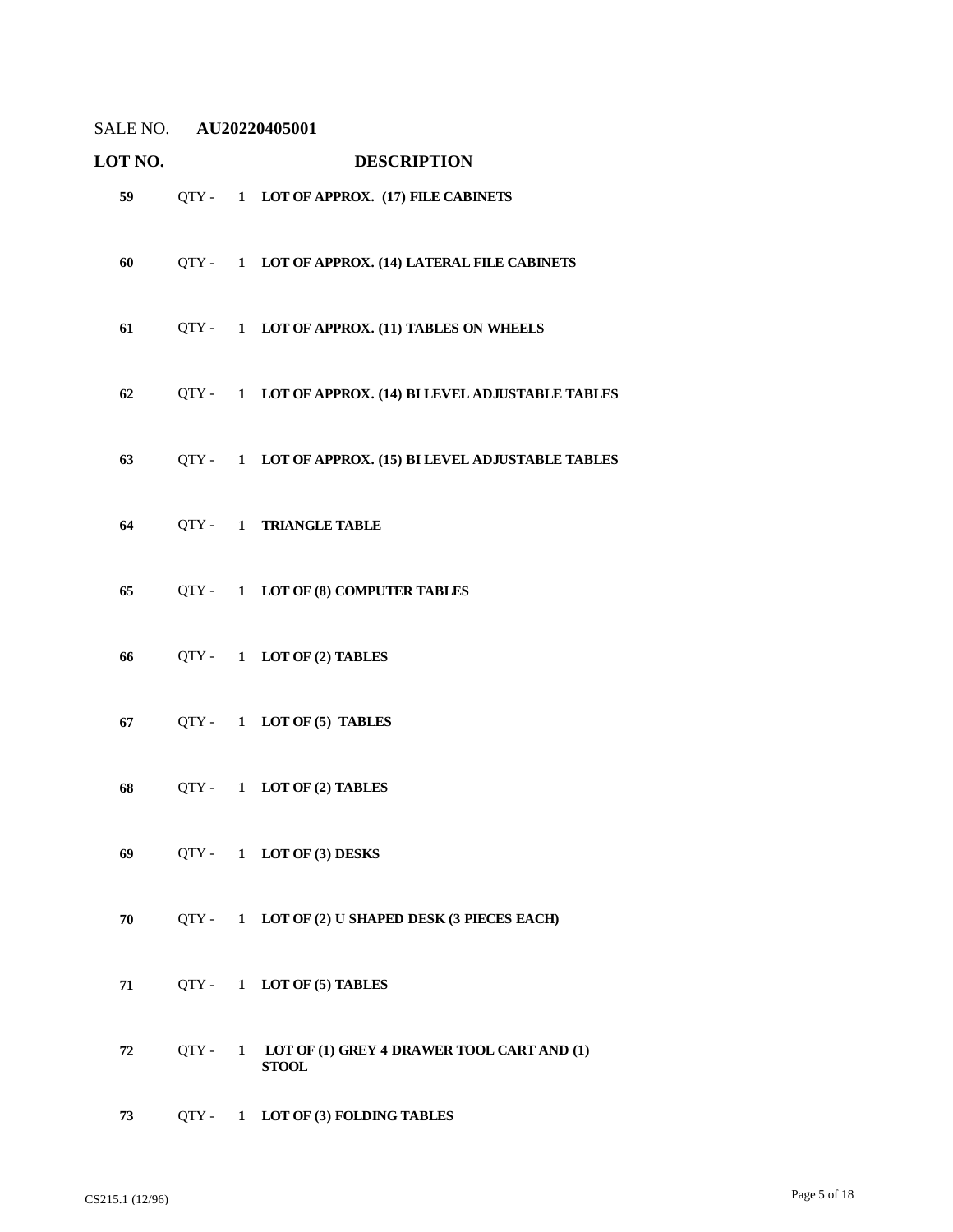| LOT NO. |         |              | <b>DESCRIPTION</b>                                         |
|---------|---------|--------------|------------------------------------------------------------|
| 59      |         |              | QTY - 1 LOT OF APPROX. (17) FILE CABINETS                  |
| 60      |         |              | QTY - 1 LOT OF APPROX. (14) LATERAL FILE CABINETS          |
| 61      |         |              | QTY - 1 LOT OF APPROX. (11) TABLES ON WHEELS               |
| 62      |         |              | QTY - 1 LOT OF APPROX. (14) BI LEVEL ADJUSTABLE TABLES     |
| 63      |         |              | QTY - 1 LOT OF APPROX. (15) BI LEVEL ADJUSTABLE TABLES     |
| 64      |         |              | QTY - 1 TRIANGLE TABLE                                     |
| 65      |         |              | QTY- 1 LOT OF (8) COMPUTER TABLES                          |
| 66      |         |              | QTY- 1 LOT OF (2) TABLES                                   |
| 67      |         |              | QTY- 1 LOT OF (5) TABLES                                   |
| 68      |         |              | QTY- 1 LOT OF (2) TABLES                                   |
| 69      |         |              | QTY - 1 LOT OF (3) DESKS                                   |
| 70      |         |              | QTY - 1 LOT OF (2) U SHAPED DESK (3 PIECES EACH)           |
| 71      |         |              | QTY- 1 LOT OF (5) TABLES                                   |
| 72      | OTY -   | $\mathbf{1}$ | LOT OF (1) GREY 4 DRAWER TOOL CART AND (1)<br><b>STOOL</b> |
| 73      | $QTY -$ | $\mathbf{1}$ | LOT OF (3) FOLDING TABLES                                  |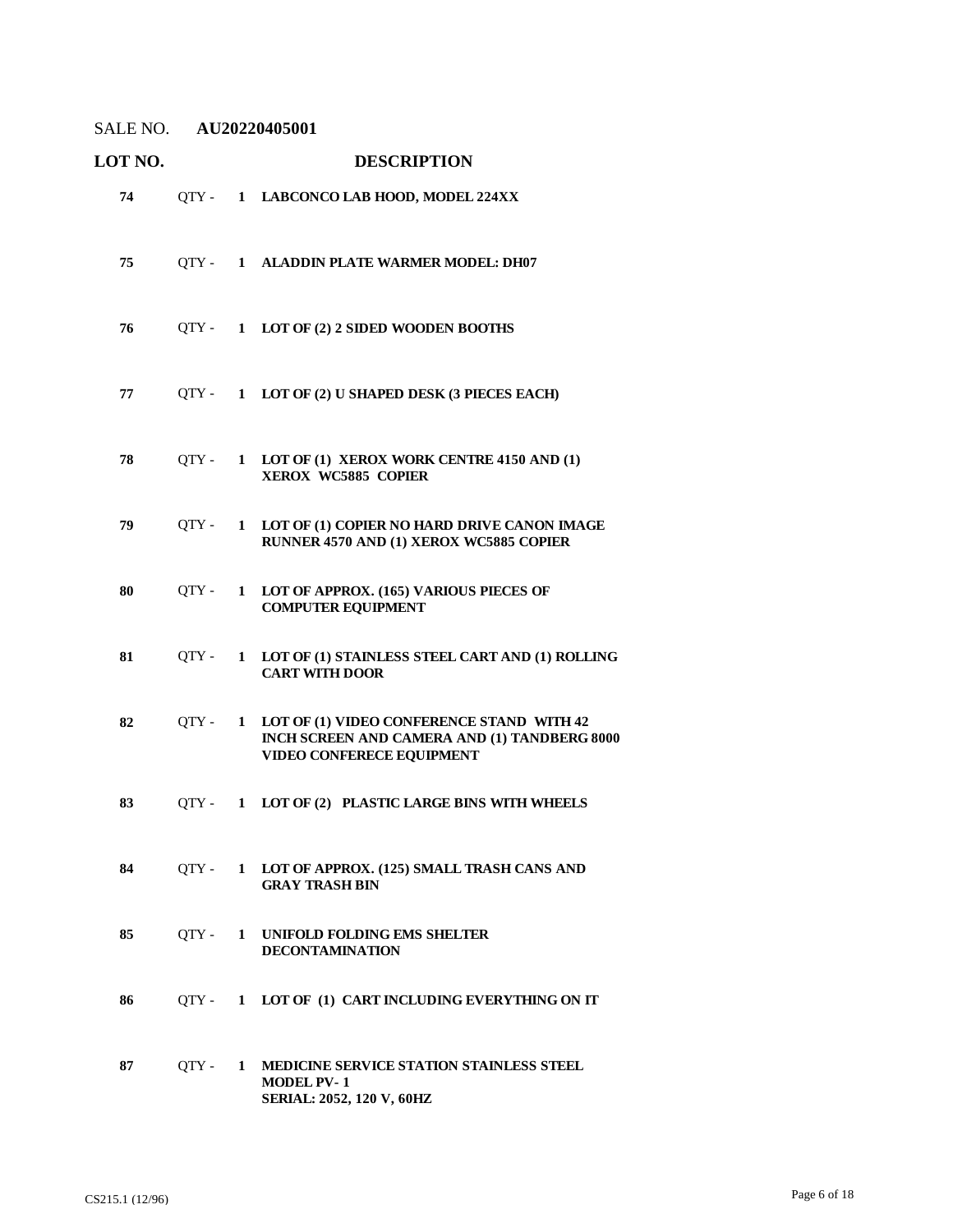| LOT NO. |       |              | <b>DESCRIPTION</b>                                                                                                            |
|---------|-------|--------------|-------------------------------------------------------------------------------------------------------------------------------|
| 74      | QTY - |              | 1 LABCONCO LAB HOOD, MODEL 224XX                                                                                              |
| 75      |       |              | QTY - 1 ALADDIN PLATE WARMER MODEL: DH07                                                                                      |
| 76      |       |              | QTY- 1 LOT OF (2) 2 SIDED WOODEN BOOTHS                                                                                       |
| 77      | OTY - |              | 1 LOT OF (2) U SHAPED DESK (3 PIECES EACH)                                                                                    |
| 78      | OTY - |              | 1 LOT OF (1) XEROX WORK CENTRE 4150 AND (1)<br>XEROX WC5885 COPIER                                                            |
| 79      | OTY - | $\mathbf{1}$ | LOT OF (1) COPIER NO HARD DRIVE CANON IMAGE<br>RUNNER 4570 AND (1) XEROX WC5885 COPIER                                        |
| 80      | OTY - | $\mathbf{1}$ | LOT OF APPROX. (165) VARIOUS PIECES OF<br><b>COMPUTER EQUIPMENT</b>                                                           |
| 81      | OTY - | $\mathbf{1}$ | LOT OF (1) STAINLESS STEEL CART AND (1) ROLLING<br><b>CART WITH DOOR</b>                                                      |
| 82      | QTY - | $\mathbf{1}$ | LOT OF (1) VIDEO CONFERENCE STAND WITH 42<br>INCH SCREEN AND CAMERA AND (1) TANDBERG 8000<br><b>VIDEO CONFERECE EQUIPMENT</b> |
| 83      | OTY - | $\mathbf{1}$ | LOT OF (2) PLASTIC LARGE BINS WITH WHEELS                                                                                     |
| 84      | OTY - |              | 1 LOT OF APPROX. (125) SMALL TRASH CANS AND<br><b>GRAY TRASH BIN</b>                                                          |
| 85      | QTY - |              | 1 UNIFOLD FOLDING EMS SHELTER<br><b>DECONTAMINATION</b>                                                                       |
| 86      | QTY - | $\mathbf{1}$ | LOT OF (1) CART INCLUDING EVERYTHING ON IT                                                                                    |
| 87      | QTY - | $\mathbf{1}$ | MEDICINE SERVICE STATION STAINLESS STEEL<br><b>MODEL PV-1</b><br>SERIAL: 2052, 120 V, 60HZ                                    |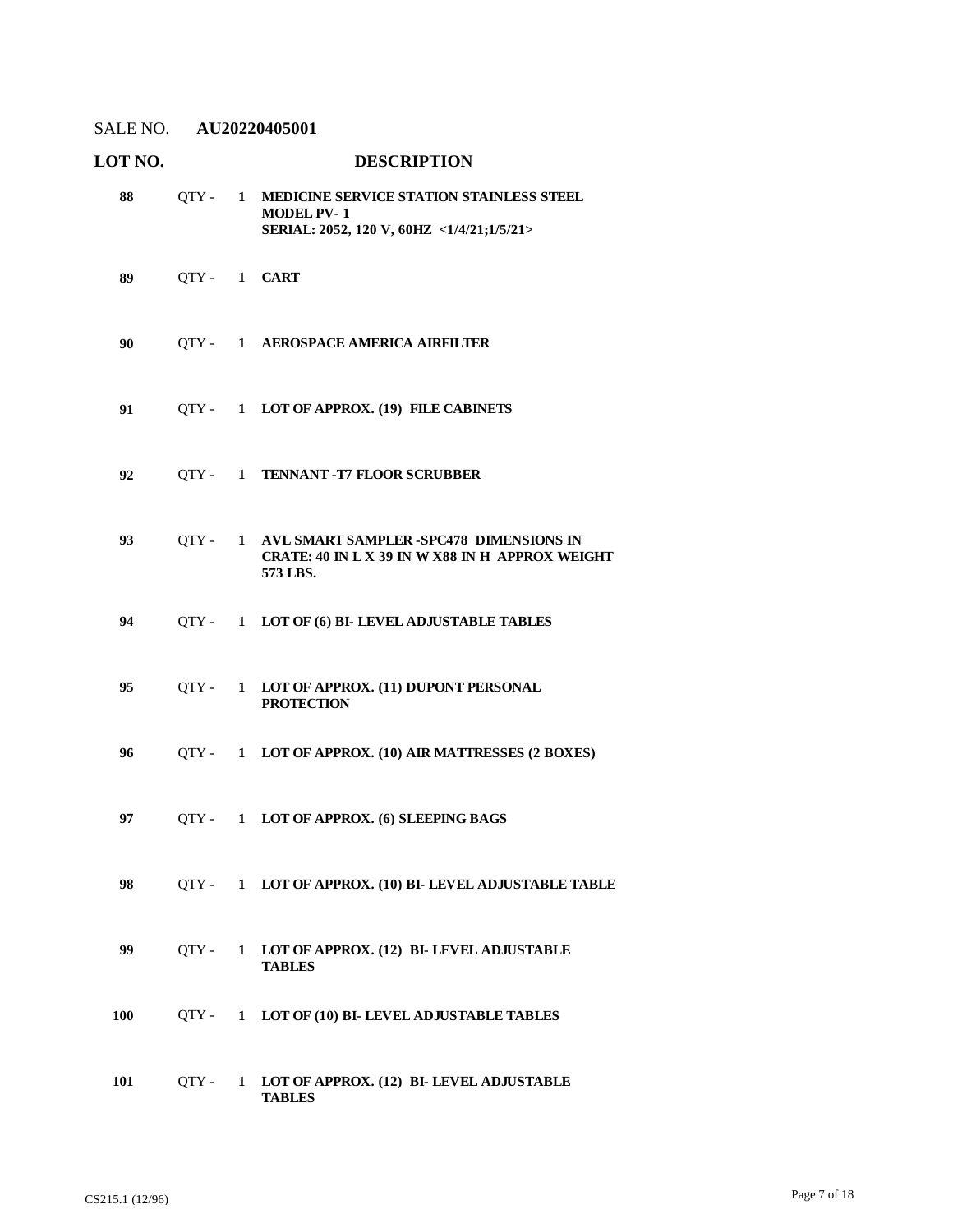| LOT NO. |             |   | <b>DESCRIPTION</b>                                                                                           |
|---------|-------------|---|--------------------------------------------------------------------------------------------------------------|
| 88      | $QTY -$     |   | 1 MEDICINE SERVICE STATION STAINLESS STEEL<br><b>MODEL PV-1</b><br>SERIAL: 2052, 120 V, 60HZ <1/4/21;1/5/21> |
| 89      | QTY- 1 CART |   |                                                                                                              |
| 90      | OTY -       |   | 1 AEROSPACE AMERICA AIRFILTER                                                                                |
| 91      |             |   | QTY - 1 LOT OF APPROX. (19) FILE CABINETS                                                                    |
| 92      | OTY -       |   | 1 TENNANT - T7 FLOOR SCRUBBER                                                                                |
| 93      | OTY -       |   | 1 AVL SMART SAMPLER -SPC478 DIMENSIONS IN<br>CRATE: 40 IN L X 39 IN W X88 IN H APPROX WEIGHT<br>573 LBS.     |
| 94      | OTY -       |   | 1 LOT OF (6) BI-LEVEL ADJUSTABLE TABLES                                                                      |
| 95      | OTY -       |   | 1 LOT OF APPROX. (11) DUPONT PERSONAL<br><b>PROTECTION</b>                                                   |
| 96      | OTY -       |   | 1 LOT OF APPROX. (10) AIR MATTRESSES (2 BOXES)                                                               |
| 97      |             |   | QTY- 1 LOT OF APPROX. (6) SLEEPING BAGS                                                                      |
| 98      | OTY -       |   | 1 LOT OF APPROX. (10) BI- LEVEL ADJUSTABLE TABLE                                                             |
| 99      | OTY -       | 1 | LOT OF APPROX. (12) BI- LEVEL ADJUSTABLE<br><b>TABLES</b>                                                    |
| 100     | OTY -       | 1 | LOT OF (10) BI- LEVEL ADJUSTABLE TABLES                                                                      |
| 101     | QTY -       | 1 | LOT OF APPROX. (12) BI- LEVEL ADJUSTABLE<br><b>TABLES</b>                                                    |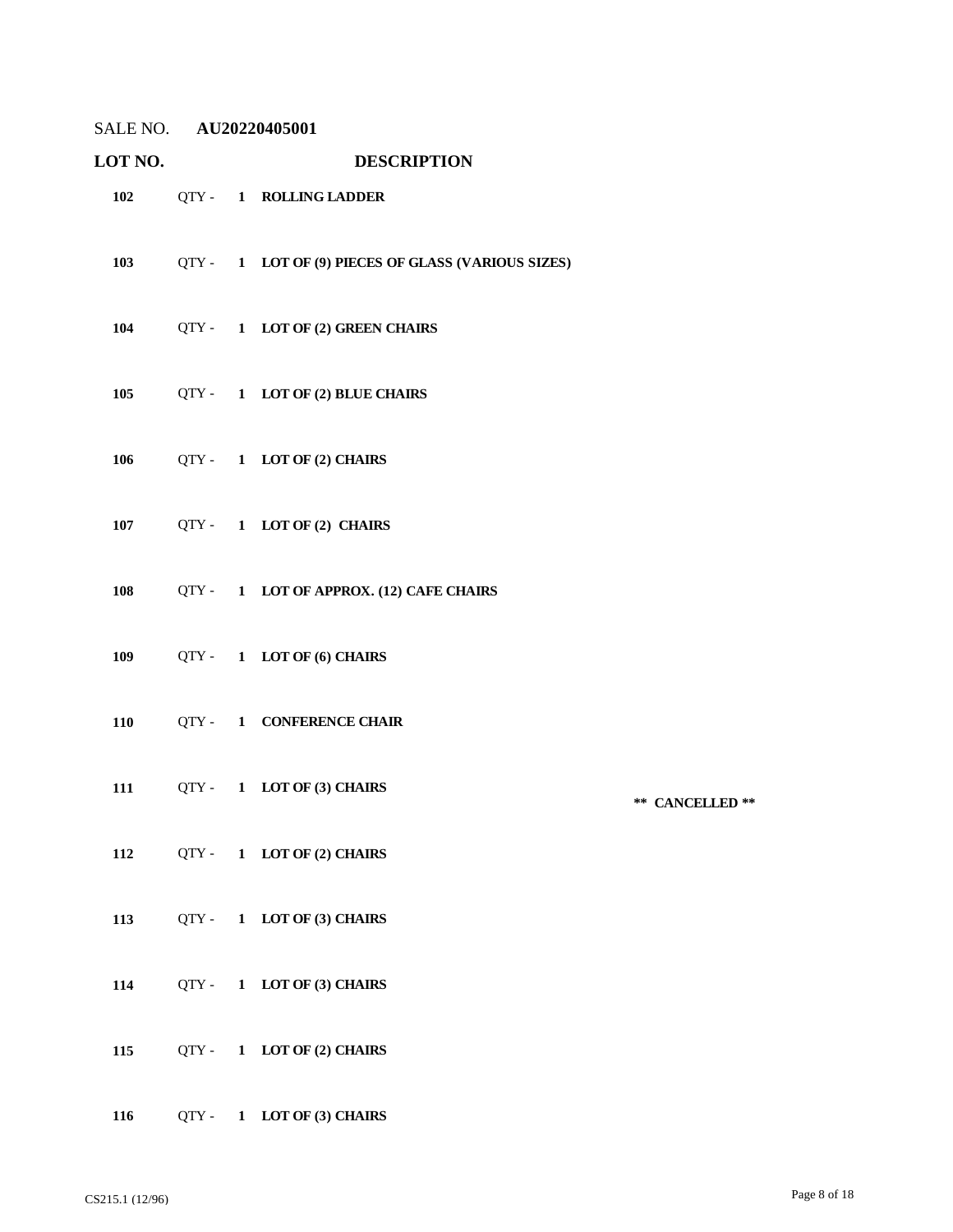| LOT NO. |       | <b>DESCRIPTION</b>                                 |                 |
|---------|-------|----------------------------------------------------|-----------------|
| 102     |       | QTY - 1 ROLLING LADDER                             |                 |
| 103     |       | QTY - 1 LOT OF (9) PIECES OF GLASS (VARIOUS SIZES) |                 |
| 104     |       | QTY- 1 LOT OF (2) GREEN CHAIRS                     |                 |
| 105     |       | QTY - 1 LOT OF (2) BLUE CHAIRS                     |                 |
| 106     |       | QTY - 1 LOT OF (2) CHAIRS                          |                 |
| 107     |       | QTY- 1 LOT OF (2) CHAIRS                           |                 |
| 108     |       | QTY - 1 LOT OF APPROX. (12) CAFE CHAIRS            |                 |
| 109     |       | QTY- 1 LOT OF (6) CHAIRS                           |                 |
| 110     |       | QTY - 1 CONFERENCE CHAIR                           |                 |
| 111     |       | QTY - 1 LOT OF (3) CHAIRS                          | ** CANCELLED ** |
| 112     |       | QTY - 1 LOT OF (2) CHAIRS                          |                 |
| 113     |       | QTY - 1 LOT OF (3) CHAIRS                          |                 |
| 114     |       | QTY- 1 LOT OF (3) CHAIRS                           |                 |
| 115     |       | QTY- 1 LOT OF (2) CHAIRS                           |                 |
| 116     | QTY - | 1 LOT OF (3) CHAIRS                                |                 |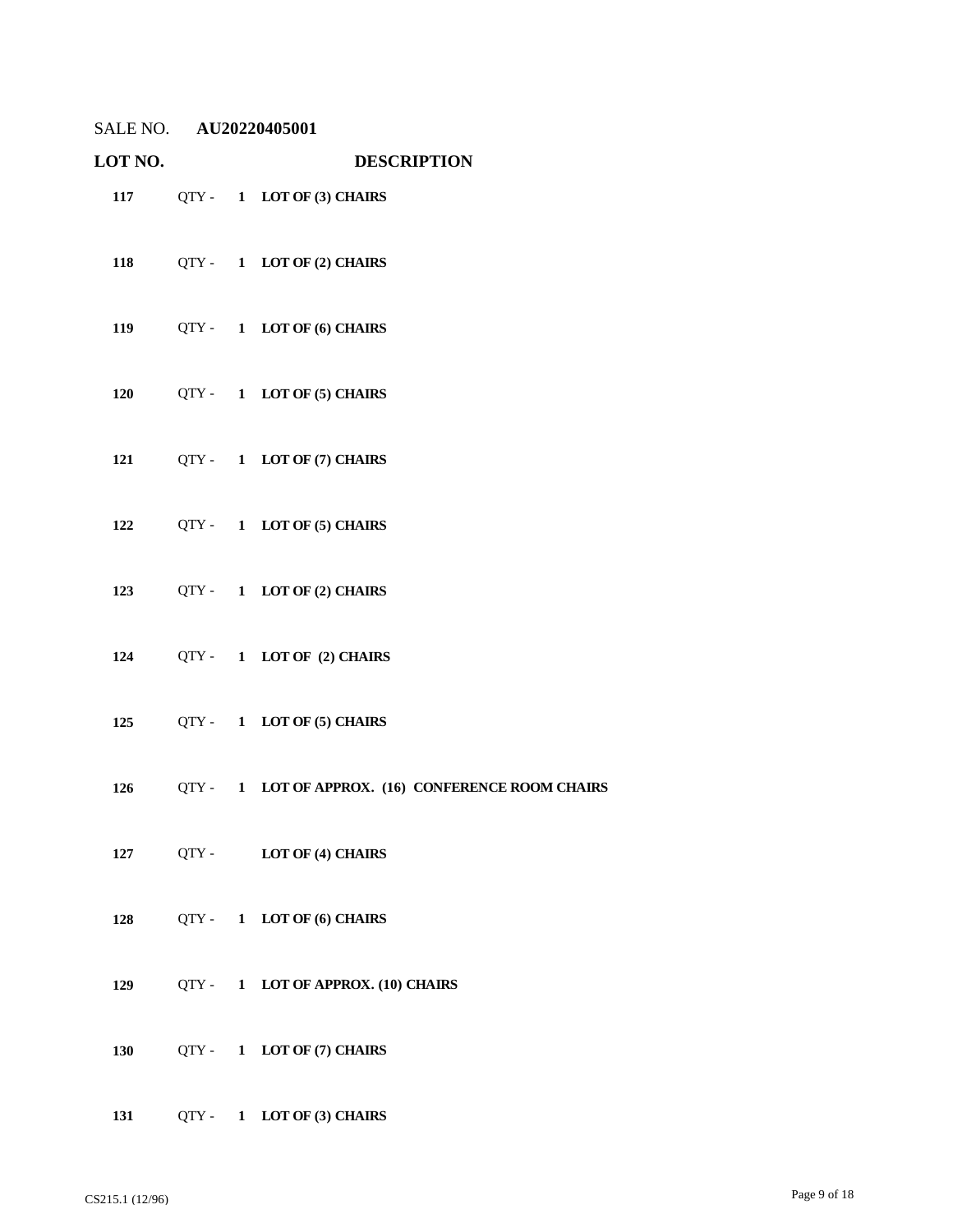| <b>LOT NO.</b> |  | <b>DESCRIPTION</b>                                     |
|----------------|--|--------------------------------------------------------|
|                |  | 117 QTY - 1 LOT OF (3) CHAIRS                          |
|                |  | 118 QTY - 1 LOT OF (2) CHAIRS                          |
|                |  | 119 QTY - 1 LOT OF (6) CHAIRS                          |
|                |  | 120 QTY - 1 LOT OF (5) CHAIRS                          |
|                |  | 121 QTY - 1 LOT OF (7) CHAIRS                          |
|                |  | 122 QTY - 1 LOT OF (5) CHAIRS                          |
|                |  | 123 QTY - 1 LOT OF (2) CHAIRS                          |
|                |  | 124 QTY-1 LOT OF (2) CHAIRS                            |
|                |  | 125 QTY - 1 LOT OF (5) CHAIRS                          |
|                |  | 126 QTY - 1 LOT OF APPROX. (16) CONFERENCE ROOM CHAIRS |
| 127            |  | QTY - LOT OF (4) CHAIRS                                |
|                |  | 128 QTY-1 LOT OF (6) CHAIRS                            |
| 129            |  | QTY- 1 LOT OF APPROX. (10) CHAIRS                      |
| 130            |  | QTY - 1 LOT OF (7) CHAIRS                              |
| 131            |  | QTY- 1 LOT OF (3) CHAIRS                               |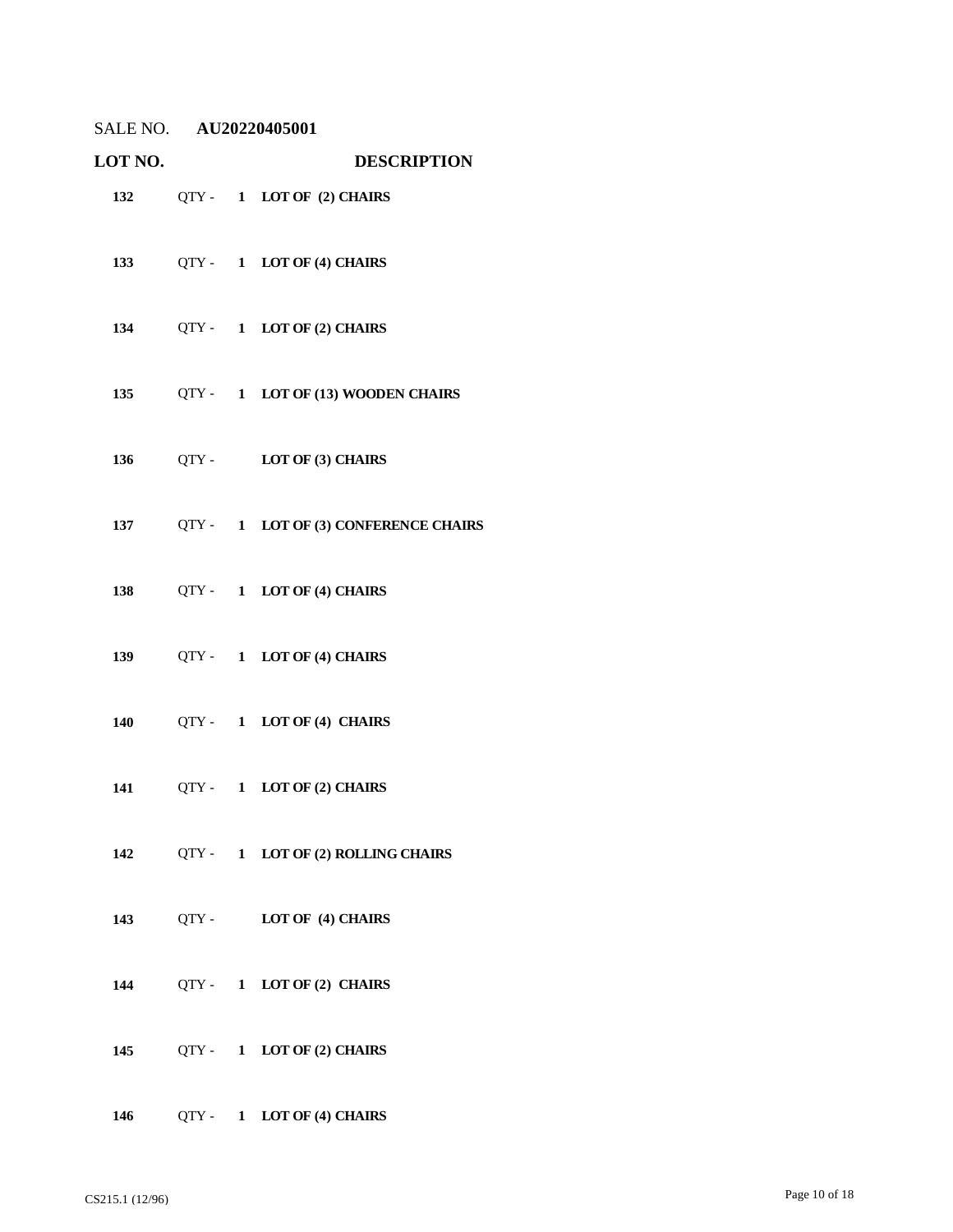| SALE NO. | AU20220405001 |
|----------|---------------|
|          |               |

| LOT NO.    |  | <b>DESCRIPTION</b>                       |
|------------|--|------------------------------------------|
|            |  | 132 QTY - 1 LOT OF (2) CHAIRS            |
|            |  | 133 QTY - 1 LOT OF (4) CHAIRS            |
|            |  | 134 QTY - 1 LOT OF (2) CHAIRS            |
|            |  | 135 QTY - 1 LOT OF (13) WOODEN CHAIRS    |
|            |  | 136 QTY - LOT OF (3) CHAIRS              |
|            |  | 137 QTY - 1 LOT OF (3) CONFERENCE CHAIRS |
| 138        |  | QTY- 1 LOT OF (4) CHAIRS                 |
|            |  | 139 QTY - 1 LOT OF (4) CHAIRS            |
| <b>140</b> |  | QTY- 1 LOT OF (4) CHAIRS                 |
|            |  | 141 QTY - 1 LOT OF (2) CHAIRS            |
| 142        |  | QTY- 1 LOT OF (2) ROLLING CHAIRS         |
| 143        |  | QTY- LOT OF (4) CHAIRS                   |
| 144        |  | QTY- 1 LOT OF (2) CHAIRS                 |
| 145        |  | QTY- 1 LOT OF (2) CHAIRS                 |
| 146        |  | QTY - 1 LOT OF (4) CHAIRS                |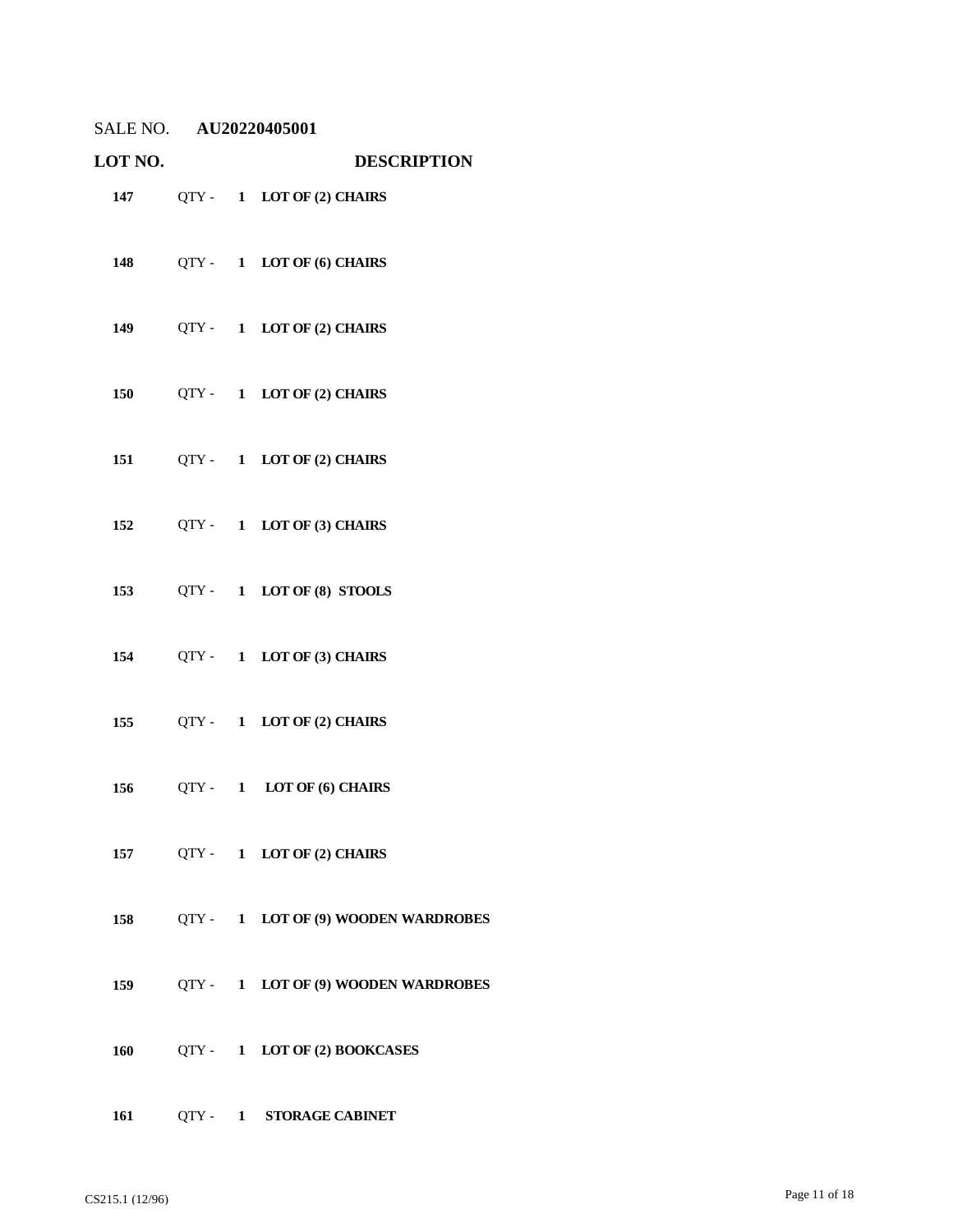| LOT NO. |  | <b>DESCRIPTION</b>                  |
|---------|--|-------------------------------------|
|         |  | 147 QTY - 1 LOT OF (2) CHAIRS       |
|         |  | 148 QTY - 1 LOT OF (6) CHAIRS       |
|         |  | 149 QTY - 1 LOT OF (2) CHAIRS       |
|         |  | 150 QTY - 1 LOT OF (2) CHAIRS       |
|         |  | 151 QTY - 1 LOT OF (2) CHAIRS       |
|         |  | 152 QTY - 1 LOT OF (3) CHAIRS       |
|         |  | 153 QTY-1 LOT OF (8) STOOLS         |
|         |  | 154 QTY - 1 LOT OF (3) CHAIRS       |
|         |  | 155 QTY - 1 LOT OF (2) CHAIRS       |
|         |  | 156 QTY-1 LOT OF (6) CHAIRS         |
| 157     |  | QTY- 1 LOT OF (2) CHAIRS            |
| 158     |  | QTY - 1 LOT OF (9) WOODEN WARDROBES |
| 159     |  | QTY - 1 LOT OF (9) WOODEN WARDROBES |
| 160     |  | QTY - 1 LOT OF (2) BOOKCASES        |
|         |  |                                     |

QTY - **1 STORAGE CABINET**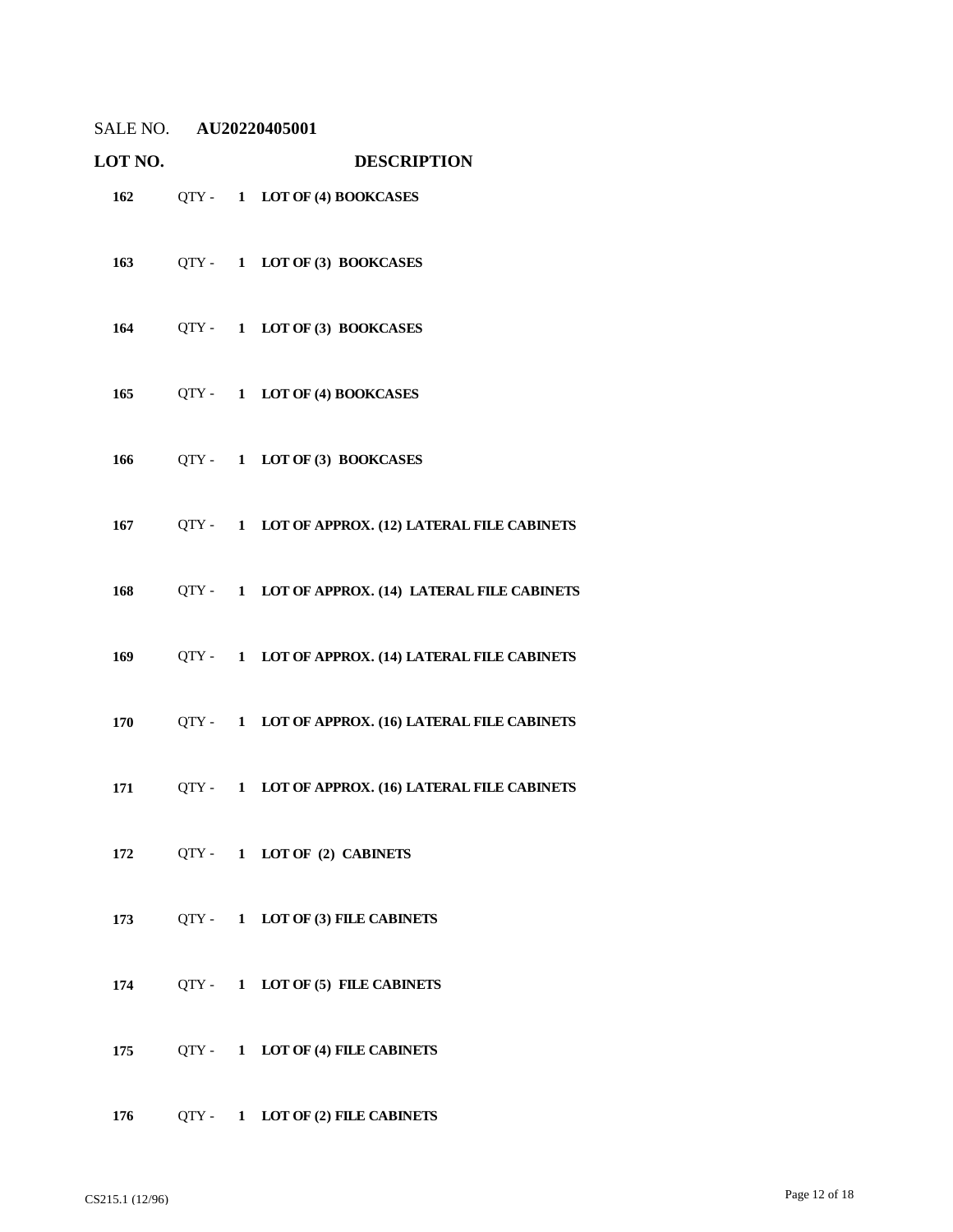| SALE NO. | AU20220405001 |
|----------|---------------|
|          |               |

| LOT NO. |  | <b>DESCRIPTION</b>                                    |
|---------|--|-------------------------------------------------------|
|         |  | 162 QTY - 1 LOT OF (4) BOOKCASES                      |
|         |  | 163 QTY- 1 LOT OF (3) BOOKCASES                       |
|         |  | 164 QTY - 1 LOT OF (3) BOOKCASES                      |
|         |  | 165 QTY - 1 LOT OF (4) BOOKCASES                      |
|         |  | 166 QTY - 1 LOT OF (3) BOOKCASES                      |
| 167     |  | QTY - 1 LOT OF APPROX. (12) LATERAL FILE CABINETS     |
| 168     |  | QTY - 1 LOT OF APPROX. (14) LATERAL FILE CABINETS     |
| 169     |  | QTY - 1 LOT OF APPROX. (14) LATERAL FILE CABINETS     |
| 170     |  | QTY - 1 LOT OF APPROX. (16) LATERAL FILE CABINETS     |
|         |  | 171 QTY - 1 LOT OF APPROX. (16) LATERAL FILE CABINETS |
| 172     |  | QTY- 1 LOT OF (2) CABINETS                            |
| 173     |  | QTY - 1 LOT OF (3) FILE CABINETS                      |
| 174     |  | QTY- 1 LOT OF (5) FILE CABINETS                       |
| 175     |  | QTY - 1 LOT OF (4) FILE CABINETS                      |
| 176     |  | QTY- 1 LOT OF (2) FILE CABINETS                       |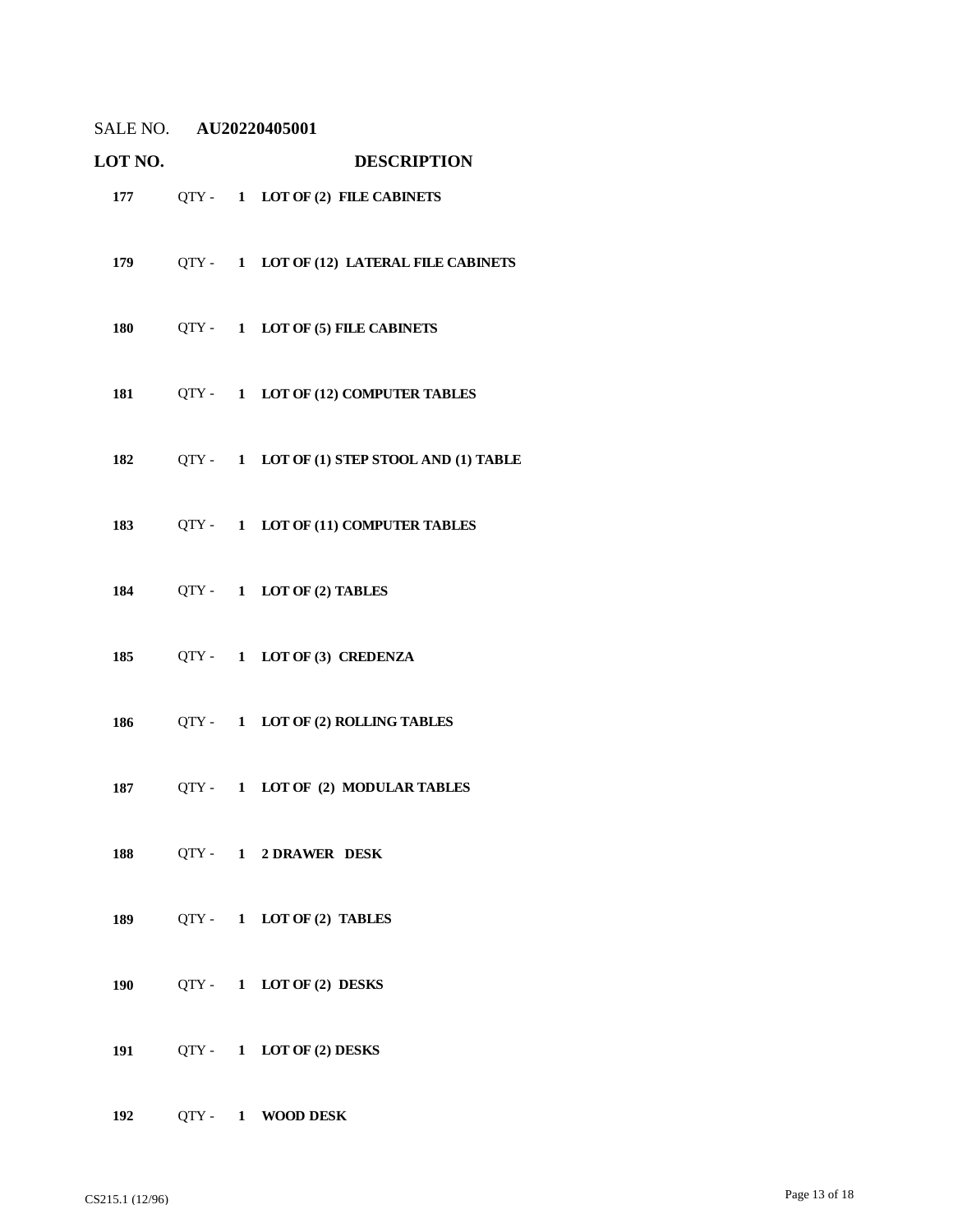| LOT NO. |  | <b>DESCRIPTION</b>                              |
|---------|--|-------------------------------------------------|
|         |  | 177 QTY - 1 LOT OF (2) FILE CABINETS            |
| 179     |  | QTY - 1 LOT OF (12) LATERAL FILE CABINETS       |
| 180     |  | QTY - 1 LOT OF (5) FILE CABINETS                |
| 181     |  | QTY- 1 LOT OF (12) COMPUTER TABLES              |
|         |  | 182 QTY - 1 LOT OF (1) STEP STOOL AND (1) TABLE |
| 183     |  | QTY - 1 LOT OF (11) COMPUTER TABLES             |
|         |  | 184 QTY-1 LOT OF (2) TABLES                     |
| 185     |  | QTY- 1 LOT OF (3) CREDENZA                      |
| 186     |  | QTY - 1 LOT OF (2) ROLLING TABLES               |
| 187     |  | QTY- 1 LOT OF (2) MODULAR TABLES                |
|         |  | 188 QTY - 1 2 DRAWER DESK                       |
|         |  | 189 QTY - 1 LOT OF (2) TABLES                   |
| 190     |  | QTY- 1 LOT OF (2) DESKS                         |
|         |  | 191 QTY - 1 LOT OF (2) DESKS                    |
| 192     |  | QTY- 1 WOOD DESK                                |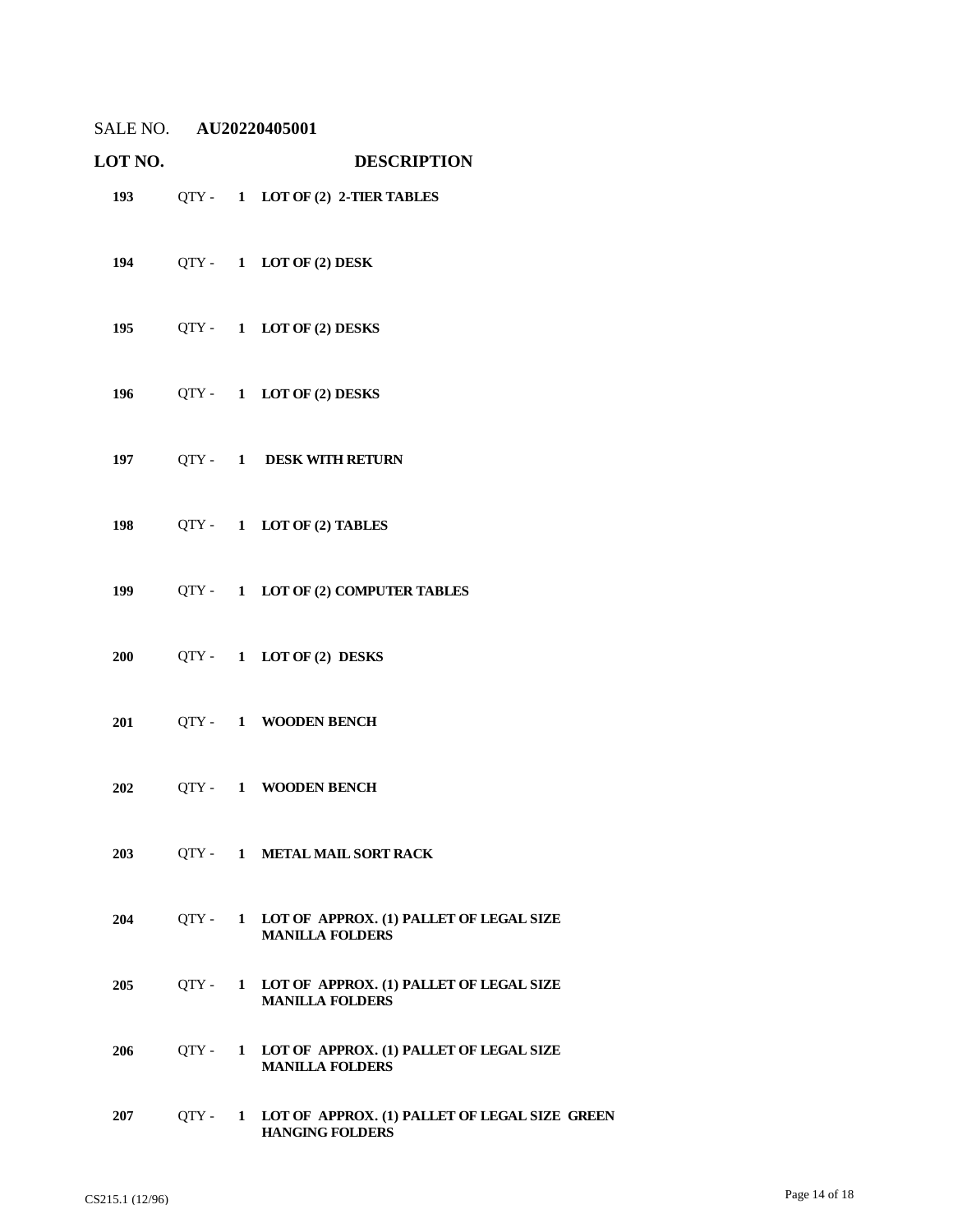| SALE NO. | AU20220405001 |
|----------|---------------|
|          |               |

| LOT NO. |           |              | <b>DESCRIPTION</b>                                                        |
|---------|-----------|--------------|---------------------------------------------------------------------------|
|         |           |              | 193 QTY - 1 LOT OF (2) 2-TIER TABLES                                      |
|         |           |              | 194 QTY - 1 LOT OF (2) DESK                                               |
|         |           |              | 195 QTY - 1 LOT OF (2) DESKS                                              |
|         |           |              | 196 QTY - 1 LOT OF (2) DESKS                                              |
|         |           |              | 197 QTY - 1 DESK WITH RETURN                                              |
|         |           |              | 198 QTY - 1 LOT OF (2) TABLES                                             |
|         |           |              | 199 QTY - 1 LOT OF (2) COMPUTER TABLES                                    |
|         |           |              | 200 QTY - 1 LOT OF (2) DESKS                                              |
|         |           |              | 201 QTY-1 WOODEN BENCH                                                    |
| 202     |           |              | QTY- 1 WOODEN BENCH                                                       |
| 203     |           |              | QTY - 1 METAL MAIL SORT RACK                                              |
| 204     | $QTY -$   |              | 1 LOT OF APPROX. (1) PALLET OF LEGAL SIZE<br><b>MANILLA FOLDERS</b>       |
| 205     |           |              | QTY - 1 LOT OF APPROX. (1) PALLET OF LEGAL SIZE<br><b>MANILLA FOLDERS</b> |
| 206     | $QTY -$   | $\mathbf{1}$ | LOT OF APPROX. (1) PALLET OF LEGAL SIZE<br><b>MANILLA FOLDERS</b>         |
| 207     | $QTY - 1$ |              | LOT OF APPROX. (1) PALLET OF LEGAL SIZE GREEN<br><b>HANGING FOLDERS</b>   |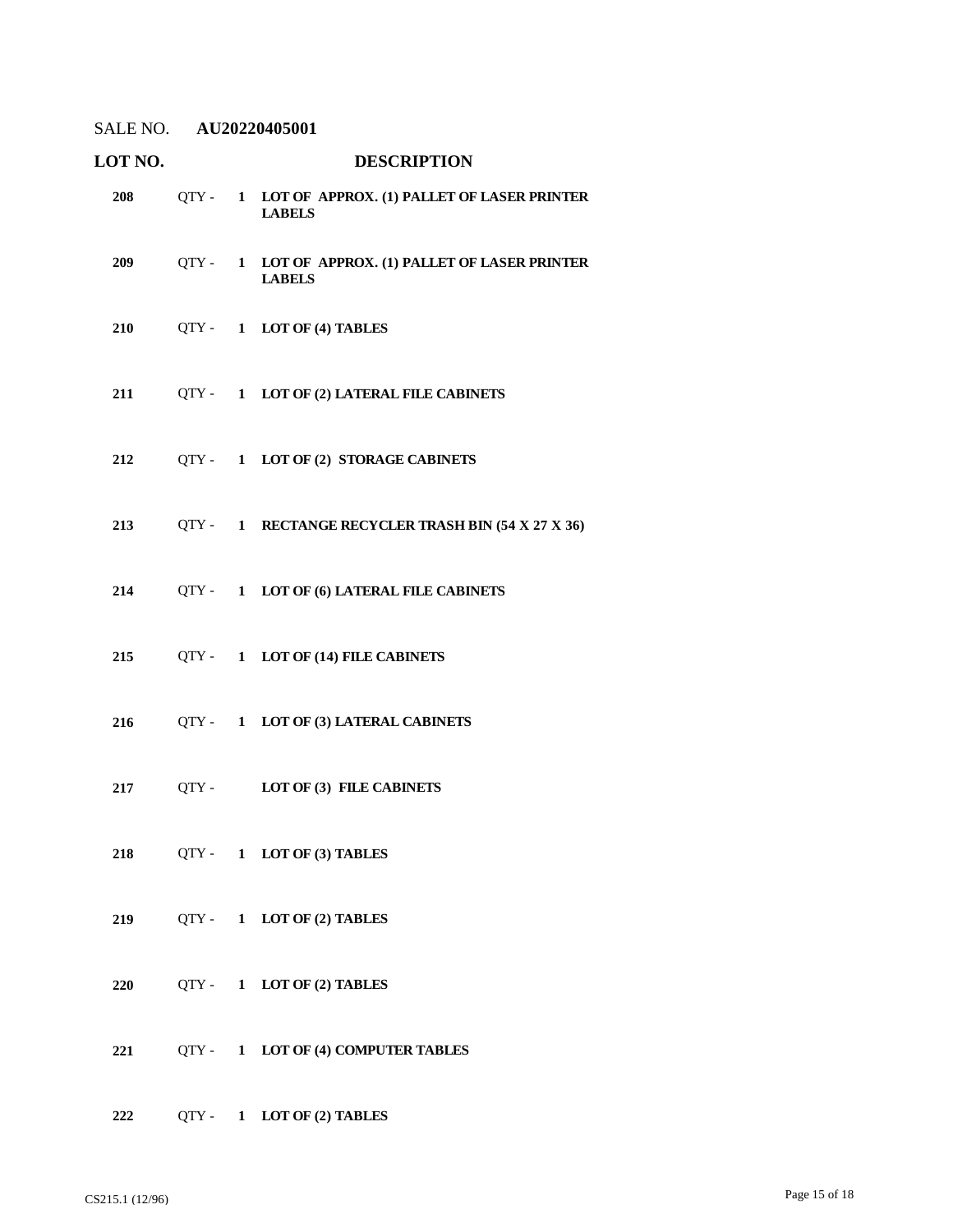| LOT NO. |  | <b>DESCRIPTION</b>                                                  |
|---------|--|---------------------------------------------------------------------|
| 208     |  | QTY - 1 LOT OF APPROX. (1) PALLET OF LASER PRINTER<br><b>LABELS</b> |
| 209     |  | QTY - 1 LOT OF APPROX. (1) PALLET OF LASER PRINTER<br><b>LABELS</b> |
| 210     |  | QTY - 1 LOT OF (4) TABLES                                           |
| 211     |  | QTY - 1 LOT OF (2) LATERAL FILE CABINETS                            |
| 212     |  | QTY - 1 LOT OF (2) STORAGE CABINETS                                 |
| 213     |  | QTY - 1 RECTANGE RECYCLER TRASH BIN (54 X 27 X 36)                  |
| 214     |  | QTY - 1 LOT OF (6) LATERAL FILE CABINETS                            |
| 215     |  | QTY - 1 LOT OF (14) FILE CABINETS                                   |
| 216     |  | QTY - 1 LOT OF (3) LATERAL CABINETS                                 |
| 217     |  | QTY - LOT OF (3) FILE CABINETS                                      |
|         |  | 218 QTY - 1 LOT OF (3) TABLES                                       |
| 219     |  | QTY- 1 LOT OF (2) TABLES                                            |
| 220     |  | QTY- 1 LOT OF (2) TABLES                                            |
| 221     |  | QTY- 1 LOT OF (4) COMPUTER TABLES                                   |
| 222     |  | QTY- 1 LOT OF (2) TABLES                                            |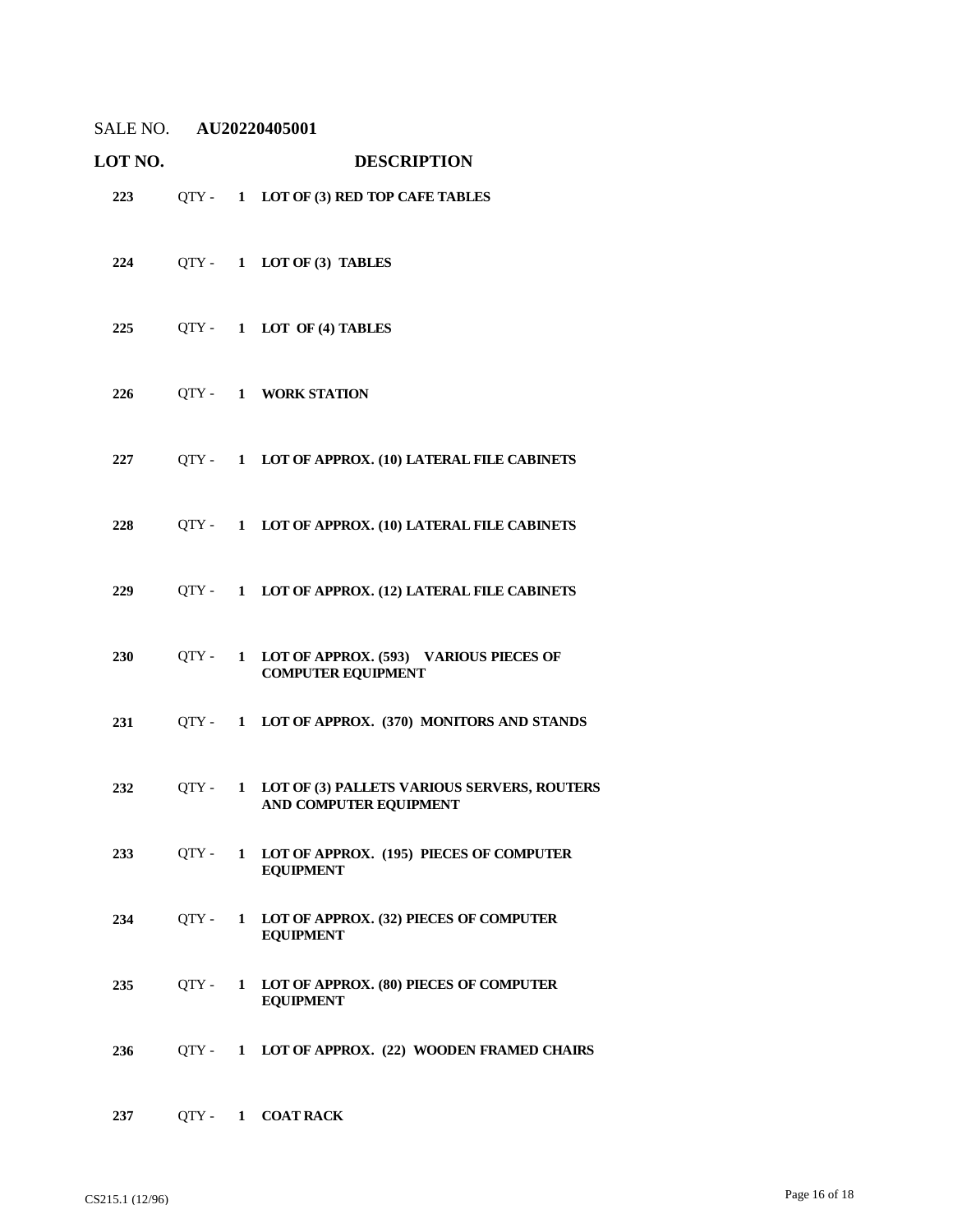| <b>LOT NO.</b> |       | <b>DESCRIPTION</b>                                                            |
|----------------|-------|-------------------------------------------------------------------------------|
| 223            |       | QTY- 1 LOT OF (3) RED TOP CAFE TABLES                                         |
| 224            |       | QTY- 1 LOT OF (3) TABLES                                                      |
| 225            |       | QTY- 1 LOT OF (4) TABLES                                                      |
| 226            |       | QTY- 1 WORK STATION                                                           |
| 227            |       | QTY - 1 LOT OF APPROX. (10) LATERAL FILE CABINETS                             |
| 228            |       | QTY - 1 LOT OF APPROX. (10) LATERAL FILE CABINETS                             |
| 229            |       | QTY - 1 LOT OF APPROX. (12) LATERAL FILE CABINETS                             |
| 230            | OTY - | 1 LOT OF APPROX. (593) VARIOUS PIECES OF<br><b>COMPUTER EQUIPMENT</b>         |
| 231            |       | QTY - 1 LOT OF APPROX. (370) MONITORS AND STANDS                              |
| 232            |       | QTY - 1 LOT OF (3) PALLETS VARIOUS SERVERS, ROUTERS<br>AND COMPUTER EQUIPMENT |
| 233            |       | QTY - 1 LOT OF APPROX. (195) PIECES OF COMPUTER<br><b>EQUIPMENT</b>           |
| 234            |       | QTY- 1 LOT OF APPROX. (32) PIECES OF COMPUTER<br><b>EQUIPMENT</b>             |
| 235            | OTY - | 1 LOT OF APPROX. (80) PIECES OF COMPUTER<br><b>EQUIPMENT</b>                  |
| 236            |       | QTY - 1 LOT OF APPROX. (22) WOODEN FRAMED CHAIRS                              |
| 237            |       | QTY- 1 COAT RACK                                                              |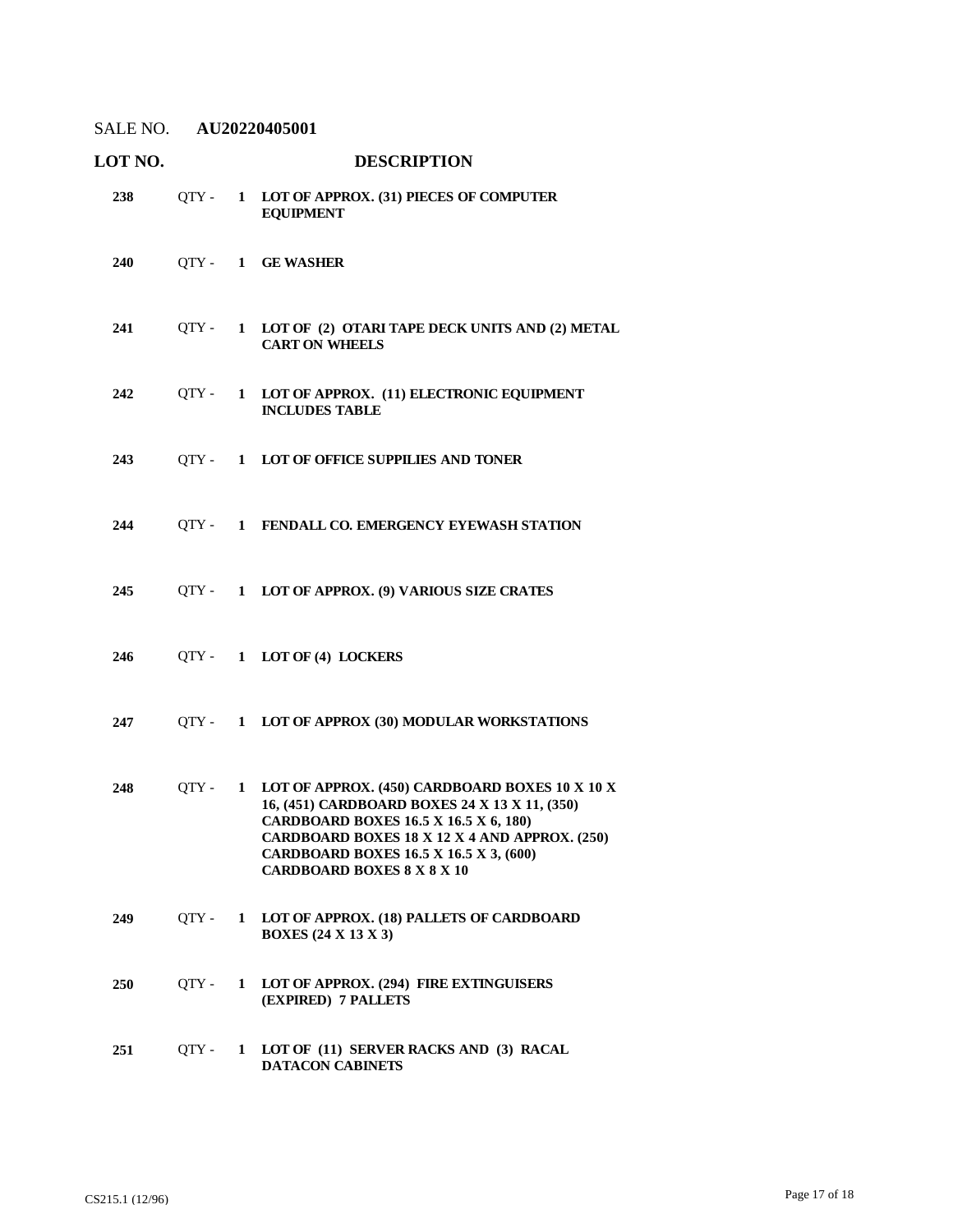| LOT NO. |       |              | <b>DESCRIPTION</b>                                                                                                                                                                                                                                                       |
|---------|-------|--------------|--------------------------------------------------------------------------------------------------------------------------------------------------------------------------------------------------------------------------------------------------------------------------|
| 238     | OTY - |              | 1 LOT OF APPROX. (31) PIECES OF COMPUTER<br><b>EQUIPMENT</b>                                                                                                                                                                                                             |
| 240     |       |              | QTY- 1 GE WASHER                                                                                                                                                                                                                                                         |
| 241     | OTY - | $\mathbf{1}$ | LOT OF (2) OTARI TAPE DECK UNITS AND (2) METAL<br><b>CART ON WHEELS</b>                                                                                                                                                                                                  |
| 242     | OTY - |              | 1 LOT OF APPROX. (11) ELECTRONIC EQUIPMENT<br><b>INCLUDES TABLE</b>                                                                                                                                                                                                      |
| 243     | OTY - |              | 1 LOT OF OFFICE SUPPILIES AND TONER                                                                                                                                                                                                                                      |
| 244     |       |              | QTY - 1 FENDALL CO. EMERGENCY EYEWASH STATION                                                                                                                                                                                                                            |
| 245     |       |              | QTY - 1 LOT OF APPROX. (9) VARIOUS SIZE CRATES                                                                                                                                                                                                                           |
| 246     |       |              | QTY- 1 LOT OF (4) LOCKERS                                                                                                                                                                                                                                                |
| 247     | OTY - |              | 1 LOT OF APPROX (30) MODULAR WORKSTATIONS                                                                                                                                                                                                                                |
| 248     | OTY - | $\mathbf{1}$ | LOT OF APPROX. (450) CARDBOARD BOXES 10 X 10 X<br>16, (451) CARDBOARD BOXES 24 X 13 X 11, (350)<br>CARDBOARD BOXES 16.5 X 16.5 X 6, 180)<br>CARDBOARD BOXES 18 X 12 X 4 AND APPROX. (250)<br>CARDBOARD BOXES 16.5 X 16.5 X 3, (600)<br><b>CARDBOARD BOXES 8 X 8 X 10</b> |
| 249     | OTY - | 1            | LOT OF APPROX. (18) PALLETS OF CARDBOARD<br><b>BOXES</b> (24 X 13 X 3)                                                                                                                                                                                                   |
| 250     | QTY - | $\mathbf{1}$ | LOT OF APPROX. (294) FIRE EXTINGUISERS<br>(EXPIRED) 7 PALLETS                                                                                                                                                                                                            |
| 251     | OTY - | $\mathbf{1}$ | LOT OF (11) SERVER RACKS AND (3) RACAL<br><b>DATACON CABINETS</b>                                                                                                                                                                                                        |